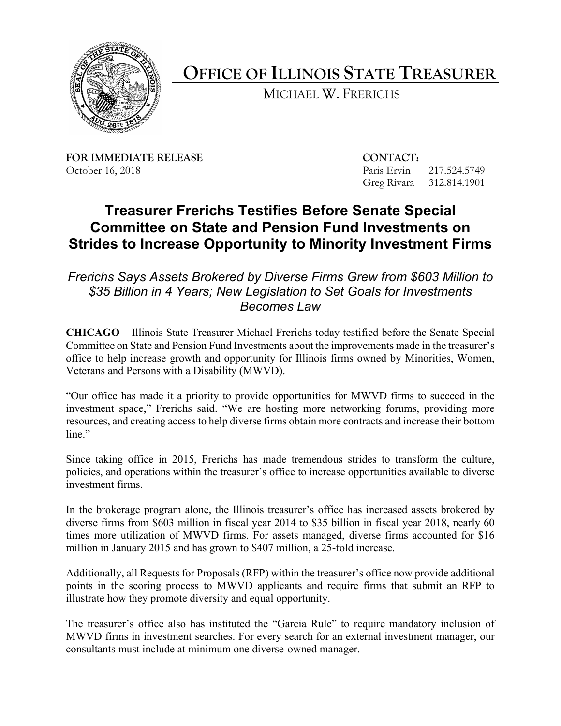

**OFFICE OF ILLINOIS STATE TREASURER** 

MICHAEL W. FRERICHS

**FOR IMMEDIATE RELEASE CONTACT:** October 16, 2018 **Paris Ervin** 217.524.5749

Greg Rivara 312.814.1901

## **Treasurer Frerichs Testifies Before Senate Special Committee on State and Pension Fund Investments on Strides to Increase Opportunity to Minority Investment Firms**

## *\$35 Billion in 4 Years; New Legislation to Set Goals for Investments Frerichs Says Assets Brokered by Diverse Firms Grew from \$603 Million to Becomes Law*

 Committee on State and Pension Fund Investments about the improvements made in the treasurer's **CHICAGO** – Illinois State Treasurer Michael Frerichs today testified before the Senate Special office to help increase growth and opportunity for Illinois firms owned by Minorities, Women, Veterans and Persons with a Disability (MWVD).

 "Our office has made it a priority to provide opportunities for MWVD firms to succeed in the investment space," Frerichs said. "We are hosting more networking forums, providing more resources, and creating access to help diverse firms obtain more contracts and increase their bottom line."

Since taking office in 2015, Frerichs has made tremendous strides to transform the culture, policies, and operations within the treasurer's office to increase opportunities available to diverse investment firms.

 million in January 2015 and has grown to \$407 million, a 25-fold increase. In the brokerage program alone, the Illinois treasurer's office has increased assets brokered by diverse firms from \$603 million in fiscal year 2014 to \$35 billion in fiscal year 2018, nearly 60 times more utilization of MWVD firms. For assets managed, diverse firms accounted for \$16

Additionally, all Requests for Proposals (RFP) within the treasurer's office now provide additional points in the scoring process to MWVD applicants and require firms that submit an RFP to illustrate how they promote diversity and equal opportunity.

 The treasurer's office also has instituted the "Garcia Rule" to require mandatory inclusion of MWVD firms in investment searches. For every search for an external investment manager, our consultants must include at minimum one diverse-owned manager.